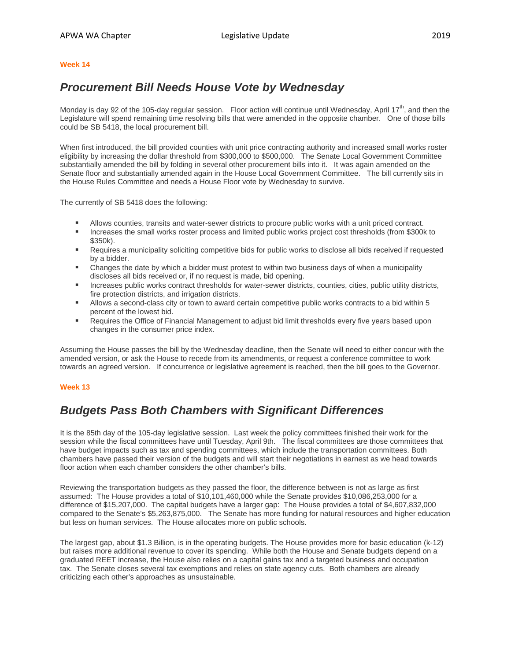#### **Week 14**

### *Procurement Bill Needs House Vote by Wednesday*

Monday is day 92 of the 105-day regular session. Floor action will continue until Wednesday, April 17<sup>th</sup>, and then the Legislature will spend remaining time resolving bills that were amended in the opposite chamber. One of those bills could be SB 5418, the local procurement bill.

When first introduced, the bill provided counties with unit price contracting authority and increased small works roster eligibility by increasing the dollar threshold from \$300,000 to \$500,000. The Senate Local Government Committee substantially amended the bill by folding in several other procurement bills into it. It was again amended on the Senate floor and substantially amended again in the House Local Government Committee. The bill currently sits in the House Rules Committee and needs a House Floor vote by Wednesday to survive.

The currently of SB 5418 does the following:

- Allows counties, transits and water-sewer districts to procure public works with a unit priced contract.
- Increases the small works roster process and limited public works project cost thresholds (from \$300k to \$350k).
- **Requires a municipality soliciting competitive bids for public works to disclose all bids received if requested** by a bidder.
- **EXECO ADMORER CHANGE A** bidder must protest to within two business days of when a municipality discloses all bids received or, if no request is made, bid opening.
- **Increases public works contract thresholds for water-sewer districts, counties, cities, public utility districts,** fire protection districts, and irrigation districts.
- Allows a second-class city or town to award certain competitive public works contracts to a bid within 5 percent of the lowest bid.
- Requires the Office of Financial Management to adjust bid limit thresholds every five years based upon changes in the consumer price index.

Assuming the House passes the bill by the Wednesday deadline, then the Senate will need to either concur with the amended version, or ask the House to recede from its amendments, or request a conference committee to work towards an agreed version. If concurrence or legislative agreement is reached, then the bill goes to the Governor.

### **Week 13**

# *Budgets Pass Both Chambers with Significant Differences*

It is the 85th day of the 105-day legislative session. Last week the policy committees finished their work for the session while the fiscal committees have until Tuesday, April 9th. The fiscal committees are those committees that have budget impacts such as tax and spending committees, which include the transportation committees. Both chambers have passed their version of the budgets and will start their negotiations in earnest as we head towards floor action when each chamber considers the other chamber's bills.

Reviewing the transportation budgets as they passed the floor, the difference between is not as large as first assumed: The House provides a total of \$10,101,460,000 while the Senate provides \$10,086,253,000 for a difference of \$15,207,000. The capital budgets have a larger gap: The House provides a total of \$4,607,832,000 compared to the Senate's \$5,263,875,000. The Senate has more funding for natural resources and higher education but less on human services. The House allocates more on public schools.

The largest gap, about \$1.3 Billion, is in the operating budgets. The House provides more for basic education (k-12) but raises more additional revenue to cover its spending. While both the House and Senate budgets depend on a graduated REET increase, the House also relies on a capital gains tax and a targeted business and occupation tax. The Senate closes several tax exemptions and relies on state agency cuts. Both chambers are already criticizing each other's approaches as unsustainable.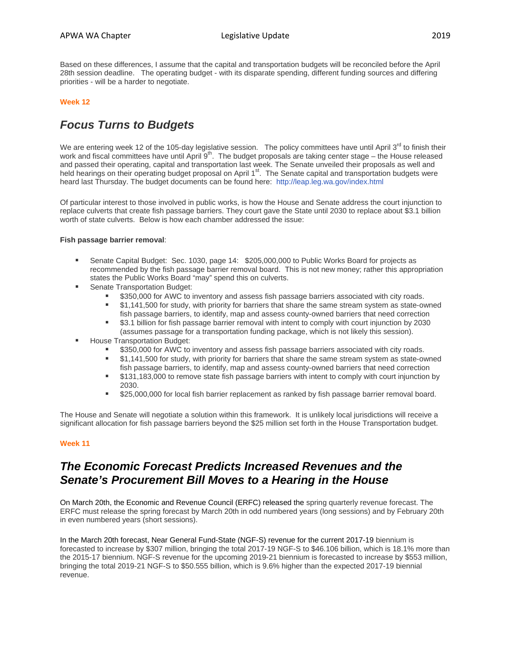Based on these differences, I assume that the capital and transportation budgets will be reconciled before the April 28th session deadline. The operating budget - with its disparate spending, different funding sources and differing priorities - will be a harder to negotiate.

### **Week 12**

# *Focus Turns to Budgets*

We are entering week 12 of the 105-day legislative session. The policy committees have until April  $3^{rd}$  to finish their work and fiscal committees have until April  $9<sup>th</sup>$ . The budget proposals are taking center stage – the House released and passed their operating, capital and transportation last week. The Senate unveiled their proposals as well and held hearings on their operating budget proposal on April 1<sup>st</sup>. The Senate capital and transportation budgets were heard last Thursday. The budget documents can be found here: <http://leap.leg.wa.gov/index.html>

Of particular interest to those involved in public works, is how the House and Senate address the court injunction to replace culverts that create fish passage barriers. They court gave the State until 2030 to replace about \$3.1 billion worth of state culverts. Below is how each chamber addressed the issue:

### **Fish passage barrier removal**:

- Senate Capital Budget: Sec. 1030, page 14: \$205,000,000 to Public Works Board for projects as recommended by the fish passage barrier removal board. This is not new money; rather this appropriation states the Public Works Board "may" spend this on culverts.
- Senate Transportation Budget:
	- \$350,000 for AWC to inventory and assess fish passage barriers associated with city roads.
	- \$1,141,500 for study, with priority for barriers that share the same stream system as state-owned fish passage barriers, to identify, map and assess county-owned barriers that need correction
	- \$3.1 billion for fish passage barrier removal with intent to comply with court injunction by 2030 (assumes passage for a transportation funding package, which is not likely this session).
- House Transportation Budget:
	- \$350,000 for AWC to inventory and assess fish passage barriers associated with city roads.
	- \$1,141,500 for study, with priority for barriers that share the same stream system as state-owned fish passage barriers, to identify, map and assess county-owned barriers that need correction
	- \$131,183,000 to remove state fish passage barriers with intent to comply with court injunction by 2030.
	- **525,000,000 for local fish barrier replacement as ranked by fish passage barrier removal board.**

The House and Senate will negotiate a solution within this framework. It is unlikely local jurisdictions will receive a significant allocation for fish passage barriers beyond the \$25 million set forth in the House Transportation budget.

### **Week 11**

## *The Economic Forecast Predicts Increased Revenues and the Senate's Procurement Bill Moves to a Hearing in the House*

On March 20th, the Economic and Revenue Council (ERFC) released the spring quarterly revenue forecast. The ERFC must release the spring forecast by March 20th in odd numbered years (long sessions) and by February 20th in even numbered years (short sessions).

In the March 20th forecast, Near General Fund-State (NGF-S) revenue for the current 2017-19 biennium is forecasted to increase by \$307 million, bringing the total 2017-19 NGF-S to \$46.106 billion, which is 18.1% more than the 2015-17 biennium. NGF-S revenue for the upcoming 2019-21 biennium is forecasted to increase by \$553 million, bringing the total 2019-21 NGF-S to \$50.555 billion, which is 9.6% higher than the expected 2017-19 biennial revenue.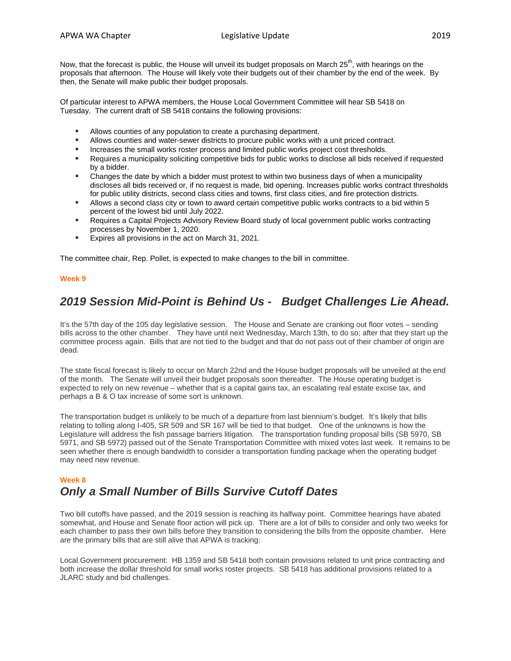Now, that the forecast is public, the House will unveil its budget proposals on March  $25<sup>th</sup>$ , with hearings on the proposals that afternoon. The House will likely vote their budgets out of their chamber by the end of the week. By then, the Senate will make public their budget proposals.

Of particular interest to APWA members, the House Local Government Committee will hear SB 5418 on Tuesday. The current draft of SB 5418 contains the following provisions:

- **Allows counties of any population to create a purchasing department.**
- **If allows counties and water-sewer districts to procure public works with a unit priced contract.**
- **Increases the small works roster process and limited public works project cost thresholds.**
- Requires a municipality soliciting competitive bids for public works to disclose all bids received if requested by a bidder.
- Changes the date by which a bidder must protest to within two business days of when a municipality discloses all bids received or, if no request is made, bid opening. Increases public works contract thresholds for public utility districts, second class cities and towns, first class cities, and fire protection districts.
- Allows a second class city or town to award certain competitive public works contracts to a bid within 5 percent of the lowest bid until July 2022.
- Requires a Capital Projects Advisory Review Board study of local government public works contracting processes by November 1, 2020.
- Expires all provisions in the act on March 31, 2021.

The committee chair, Rep. Pollet, is expected to make changes to the bill in committee.

### **Week 9**

# *2019 Session Mid-Point is Behind Us - Budget Challenges Lie Ahead.*

It's the 57th day of the 105 day legislative session. The House and Senate are cranking out floor votes – sending bills across to the other chamber. They have until next Wednesday, March 13th, to do so; after that they start up the committee process again. Bills that are not tied to the budget and that do not pass out of their chamber of origin are dead.

The state fiscal forecast is likely to occur on March 22nd and the House budget proposals will be unveiled at the end of the month. The Senate will unveil their budget proposals soon thereafter. The House operating budget is expected to rely on new revenue – whether that is a capital gains tax, an escalating real estate excise tax, and perhaps a B & O tax increase of some sort is unknown.

The transportation budget is unlikely to be much of a departure from last biennium's budget. It's likely that bills relating to tolling along I-405, SR 509 and SR 167 will be tied to that budget. One of the unknowns is how the Legislature will address the fish passage barriers litigation. The transportation funding proposal bills (SB 5970, SB 5971, and SB 5972) passed out of the Senate Transportation Committee with mixed votes last week. It remains to be seen whether there is enough bandwidth to consider a transportation funding package when the operating budget may need new revenue.

### **Week 8** *Only a Small Number of Bills Survive Cutoff Dates*

Two bill cutoffs have passed, and the 2019 session is reaching its halfway point. Committee hearings have abated somewhat, and House and Senate floor action will pick up. There are a lot of bills to consider and only two weeks for each chamber to pass their own bills before they transition to considering the bills from the opposite chamber. Here are the primary bills that are still alive that APWA is tracking:

Local Government procurement: HB 1359 and SB 5418 both contain provisions related to unit price contracting and both increase the dollar threshold for small works roster projects. SB 5418 has additional provisions related to a JLARC study and bid challenges.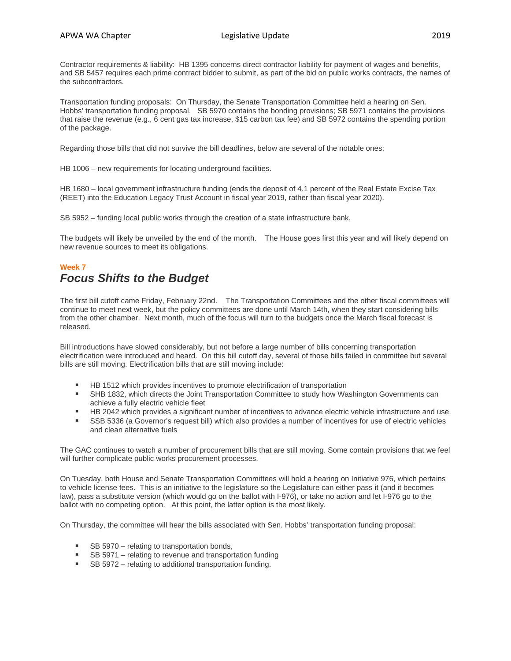Contractor requirements & liability: HB 1395 concerns direct contractor liability for payment of wages and benefits, and SB 5457 requires each prime contract bidder to submit, as part of the bid on public works contracts, the names of the subcontractors.

Transportation funding proposals: On Thursday, the Senate Transportation Committee held a hearing on Sen. Hobbs' transportation funding proposal. SB 5970 contains the bonding provisions; SB 5971 contains the provisions that raise the revenue (e.g., 6 cent gas tax increase, \$15 carbon tax fee) and SB 5972 contains the spending portion of the package.

Regarding those bills that did not survive the bill deadlines, below are several of the notable ones:

HB 1006 – new requirements for locating underground facilities.

HB 1680 – local government infrastructure funding (ends the deposit of 4.1 percent of the Real Estate Excise Tax (REET) into the Education Legacy Trust Account in fiscal year 2019, rather than fiscal year 2020).

SB 5952 – funding local public works through the creation of a state infrastructure bank.

The budgets will likely be unveiled by the end of the month. The House goes first this year and will likely depend on new revenue sources to meet its obligations.

### **Week 7**

## *Focus Shifts to the Budget*

The first bill cutoff came Friday, February 22nd. The Transportation Committees and the other fiscal committees will continue to meet next week, but the policy committees are done until March 14th, when they start considering bills from the other chamber. Next month, much of the focus will turn to the budgets once the March fiscal forecast is released.

Bill introductions have slowed considerably, but not before a large number of bills concerning transportation electrification were introduced and heard. On this bill cutoff day, several of those bills failed in committee but several bills are still moving. Electrification bills that are still moving include:

- HB 1512 which provides incentives to promote electrification of transportation
- SHB 1832, which directs the Joint Transportation Committee to study how Washington Governments can achieve a fully electric vehicle fleet
- HB 2042 which provides a significant number of incentives to advance electric vehicle infrastructure and use
- SSB 5336 (a Governor's request bill) which also provides a number of incentives for use of electric vehicles and clean alternative fuels

The GAC continues to watch a number of procurement bills that are still moving. Some contain provisions that we feel will further complicate public works procurement processes.

On Tuesday, both House and Senate Transportation Committees will hold a hearing on Initiative 976, which pertains to vehicle license fees. This is an initiative to the legislature so the Legislature can either pass it (and it becomes law), pass a substitute version (which would go on the ballot with I-976), or take no action and let I-976 go to the ballot with no competing option. At this point, the latter option is the most likely.

On Thursday, the committee will hear the bills associated with Sen. Hobbs' transportation funding proposal:

- SB 5970 relating to transportation bonds,
- SB 5971 relating to revenue and transportation funding
- SB 5972 relating to additional transportation funding.